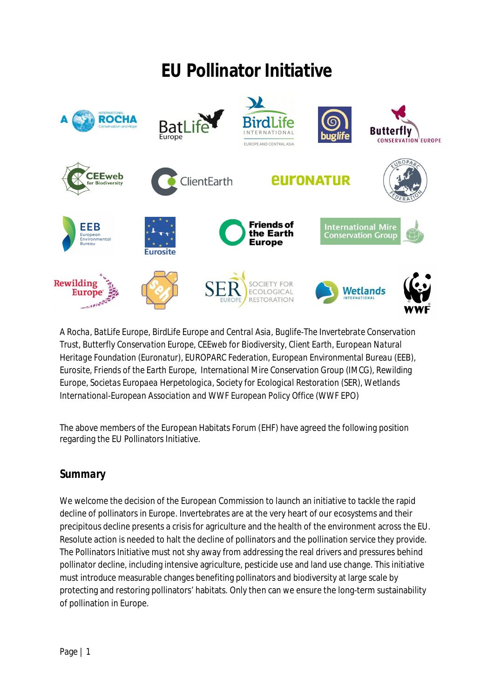# **EU Pollinator Initiative**



*A Rocha, BatLife Europe, BirdLife Europe and Central Asia, Buglife-The Invertebrate Conservation Trust, Butterfly Conservation Europe, CEEweb for Biodiversity, Client Earth, European Natural Heritage Foundation (Euronatur), EUROPARC Federation, European Environmental Bureau (EEB), Eurosite, Friends of the Earth Europe, International Mire Conservation Group (IMCG), Rewilding Europe, Societas Europaea Herpetologica, Society for Ecological Restoration (SER), Wetlands International-European Association and WWF European Policy Office (WWF EPO)*

The above members of the European Habitats Forum (EHF) have agreed the following position regarding the EU Pollinators Initiative.

## *Summary*

We welcome the decision of the European Commission to launch an initiative to tackle the rapid decline of pollinators in Europe. Invertebrates are at the very heart of our ecosystems and their precipitous decline presents a crisis for agriculture and the health of the environment across the EU. Resolute action is needed to halt the decline of pollinators and the pollination service they provide. The Pollinators Initiative must not shy away from addressing the real drivers and pressures behind pollinator decline, including intensive agriculture, pesticide use and land use change. This initiative must introduce measurable changes benefiting pollinators and biodiversity at large scale by protecting and restoring pollinators' habitats. Only then can we ensure the long-term sustainability of pollination in Europe.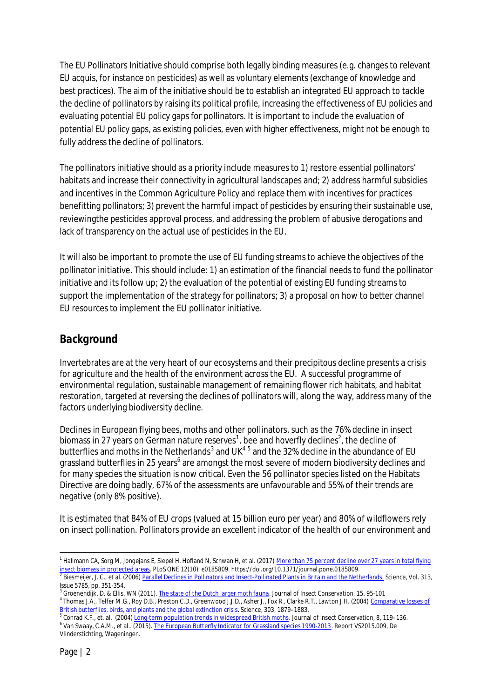The EU Pollinators Initiative should comprise both legally binding measures (e.g. changes to relevant EU acquis, for instance on pesticides) as well as voluntary elements (exchange of knowledge and best practices). The aim of the initiative should be to establish an integrated EU approach to tackle the decline of pollinators by raising its political profile, increasing the effectiveness of EU policies and evaluating potential EU policy gaps for pollinators. It is important to include the evaluation of potential EU policy gaps, as existing policies, even with higher effectiveness, might not be enough to fully address the decline of pollinators.

The pollinators initiative should as a priority include measures to 1) restore essential pollinators' habitats and increase their connectivity in agricultural landscapes and; 2) address harmful subsidies and incentives in the Common Agriculture Policy and replace them with incentives for practices benefitting pollinators; 3) prevent the harmful impact of pesticides by ensuring their sustainable use, reviewingthe pesticides approval process, and addressing the problem of abusive derogations and lack of transparency on the actual use of pesticides in the EU.

It will also be important to promote the use of EU funding streams to achieve the objectives of the pollinator initiative. This should include: 1) an estimation of the financial needs to fund the pollinator initiative and its follow up; 2) the evaluation of the potential of existing EU funding streams to support the implementation of the strategy for pollinators; 3) a proposal on how to better channel EU resources to implement the EU pollinator initiative.

## *Background*

Invertebrates are at the very heart of our ecosystems and their precipitous decline presents a crisis for agriculture and the health of the environment across the EU. A successful programme of environmental regulation, sustainable management of remaining flower rich habitats, and habitat restoration, targeted at reversing the declines of pollinators will, along the way, address many of the factors underlying biodiversity decline.

Declines in European flying bees, moths and other pollinators, such as the 76% decline in insect biomass in 27 years on German nature reserves $^1$ , bee and hoverfly declines $^2$ , the decline of butterflies and moths in the Netherlands<sup>3</sup> and UK<sup>45</sup> and the 32% decline in the abundance of EU grassland butterflies in 25 years<sup>6</sup> are amongst the most severe of modern biodiversity declines and for many species the situation is now critical. Even the 56 pollinator species listed on the Habitats Directive are doing badly, 67% of the assessments are unfavourable and 55% of their trends are negative (only 8% positive).

It is estimated that 84% of EU crops (valued at 15 billion euro per year) and 80% of wildflowers rely on insect pollination. Pollinators provide an excellent indicator of the health of our environment and

<sup>&</sup>lt;sup>1</sup> Hallmann CA, Sorg M, Jongejans E, Siepel H, Hofland N, Schwan H, et al. (2017) <u>More than 75 percent decline over 27 years in total flying</u> <u>insect biomass in protected areas</u>. PLoS ONE 12(10): e0185809. https://doi.org/10.1371/journal.pone.0185809.<br><sup>2</sup> Biesmeijer, J. C., et al. (2006) <u>Parallel Declines in Pollinators and Insect-Pollinated Plants in Britain a</u>

Issue 5785, pp. 351-354.

<sup>&</sup>lt;sup>3</sup> Groenendijk, D. & Ellis, WN (2011). The state of the Dutch larger moth fauna. Journal of Insect Conservation, 15, 95-101 <sup>4</sup> Thomas J.A., Telfer M.G., Roy D.B., Preston C.D., Greenwood J.J.D., Asher J., Fox R., Clarke R.T., Lawton J.H. (2004) Comparative losses of <u>British butterflies, birds, and plants and the global extinction crisis</u>. Science, 303, 1879–1883.<br><sup>5</sup> Conrad K.F., et. al. (2004) <u>Long-term population trends in widespread British moths</u>. Journal of Insect Conservation

<sup>&</sup>lt;sup>6</sup> Van Swaay, C.A.M., et al.. (2015). <u>The European Butterfly Indicator for Grassland species 1990-2013</u>. Report VS2015.009, De Vlinderstichting, Wageningen.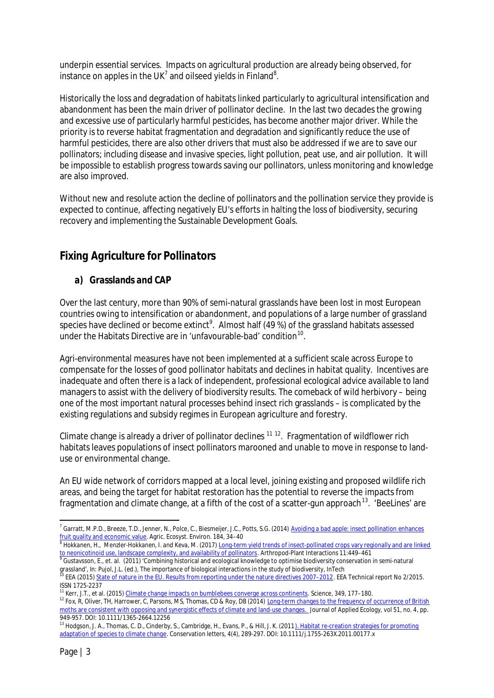underpin essential services. Impacts on agricultural production are already being observed, for instance on apples in the UK<sup>7</sup> and oilseed yields in Finland<sup>8</sup>.

Historically the loss and degradation of habitats linked particularly to agricultural intensification and abandonment has been the main driver of pollinator decline. In the last two decades the growing and excessive use of particularly harmful pesticides, has become another major driver. While the priority is to reverse habitat fragmentation and degradation and significantly reduce the use of harmful pesticides, there are also other drivers that must also be addressed if we are to save our pollinators; including disease and invasive species, light pollution, peat use, and air pollution. It will be impossible to establish progress towards saving our pollinators, unless monitoring and knowledge are also improved.

Without new and resolute action the decline of pollinators and the pollination service they provide is expected to continue, affecting negatively EU's efforts in halting the loss of biodiversity, securing recovery and implementing the Sustainable Development Goals.

## *Fixing Agriculture for Pollinators*

#### *a) Grasslands and CAP*

Over the last century, more than 90% of semi-natural grasslands have been lost in most European countries owing to intensification or abandonment, and populations of a large number of grassland species have declined or become extinct<sup>9</sup>. Almost half (49 %) of the grassland habitats assessed under the Habitats Directive are in 'unfavourable-bad' condition<sup>10</sup>.

Agri-environmental measures have not been implemented at a sufficient scale across Europe to compensate for the losses of good pollinator habitats and declines in habitat quality. Incentives are inadequate and often there is a lack of independent, professional ecological advice available to land managers to assist with the delivery of biodiversity results. The comeback of wild herbivory – being one of the most important natural processes behind insect rich grasslands – is complicated by the existing regulations and subsidy regimes in European agriculture and forestry.

Climate change is already a driver of pollinator declines  $11 12$ . Fragmentation of wildflower rich habitats leaves populations of insect pollinators marooned and unable to move in response to landuse or environmental change.

An EU wide network of corridors mapped at a local level, joining existing and proposed wildlife rich areas, and being the target for habitat restoration has the potential to reverse the impacts from fragmentation and climate change, at a fifth of the cost of a scatter-gun approach<sup>13</sup>. 'BeeLines' are

grassland', In: Pujol, J.L. (ed.), The importance of biological interactions in the study of biodiversity, InTech

<sup>&</sup>lt;sup>7</sup> Garratt, M.P.D., Breeze, T.D., Jenner, N., Polce, C., Biesmeijer, J.C., Potts, S.G. (2014) Avoiding a bad apple: insect pollination enhances <u>fruit quality and economic value</u>. Agric. Ecosyst. Environ. 184, 34–40<br><sup>8</sup> Hokkanen, H., Menzler-Hokkanen, I. and Keva, M. (2017) <u>Long-term yield trends of insect-pollinated crops vary regionally and are linked</u>

<sup>&</sup>lt;u>to neonicotinoid use, landscape complexity, and availability of pollinators</u>. Arthropod-Plant Interactions 11:449–461<br><sup>9</sup> Gustavsson, E., et. al. (2011) 'Combining historical and ecological knowledge to optimise biodivers

<sup>10</sup> EEA (2015) State of nature in the EU. Results from reporting under the nature directives 2007–2012. EEA Technical report No 2/2015. ISSN 1725-2237

<sup>&</sup>lt;sup>1</sup> Kerr, J.T., et al. (2015) Climate change impacts on bumblebees converge across continents. Science, 349, 177-180.

<sup>&</sup>lt;sup>12</sup> Fox, R, Oliver, TH, Harrower, C, Parsons, MS, Thomas, CD & Roy, DB (2014) Long-term changes to the frequency of occurrence of British moths are consistent with opposing and synergistic effects of climate and land-use changes. Journal of Applied Ecology, vol 51, no. 4, pp. 949-957. DOI: 10.1111/1365-2664.12256

<sup>&</sup>lt;sup>13</sup> Hodgson, J. A., Thomas, C. D., Cinderby, S., Cambridge, H., Evans, P., & Hill, J. K. (2011). Habitat re-creation strategies for promoting adaptation of species to climate change. Conservation letters, 4(4), 289-297. DOI: 10.1111/j.1755-263X.2011.00177.x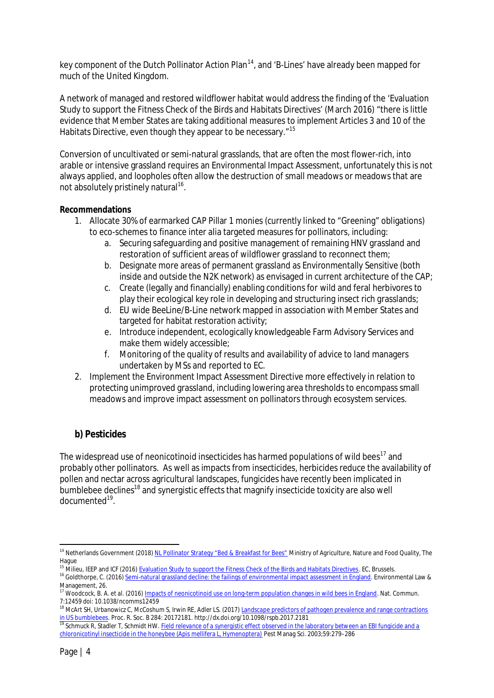key component of the Dutch Pollinator Action Plan<sup>14</sup>, and 'B-Lines' have already been mapped for much of the United Kingdom.

A network of managed and restored wildflower habitat would address the finding of the 'Evaluation Study to support the Fitness Check of the Birds and Habitats Directives' (March 2016) "there is little evidence that Member States are taking additional measures to implement Articles 3 and 10 of the Habitats Directive, even though they appear to be necessary."<sup>15</sup>

Conversion of uncultivated or semi-natural grasslands, that are often the most flower-rich, into arable or intensive grassland requires an Environmental Impact Assessment, unfortunately this is not always applied, and loopholes often allow the destruction of small meadows or meadows that are not absolutely pristinely natural<sup>16</sup>.

#### **Recommendations**

- 1. Allocate 30% of earmarked CAP Pillar 1 monies (currently linked to "Greening" obligations) to eco-schemes to finance inter alia targeted measures for pollinators, including:
	- a. Securing safeguarding and positive management of remaining HNV grassland and restoration of sufficient areas of wildflower grassland to reconnect them;
	- b. Designate more areas of permanent grassland as Environmentally Sensitive (both inside and outside the N2K network) as envisaged in current architecture of the CAP;
	- c. Create (legally and financially) enabling conditions for wild and feral herbivores to play their ecological key role in developing and structuring insect rich grasslands;
	- d. EU wide BeeLine/B-Line network mapped in association with Member States and targeted for habitat restoration activity;
	- e. Introduce independent, ecologically knowledgeable Farm Advisory Services and make them widely accessible;
	- f. Monitoring of the quality of results and availability of advice to land managers undertaken by MSs and reported to EC.
- 2. Implement the Environment Impact Assessment Directive more effectively in relation to protecting unimproved grassland, including lowering area thresholds to encompass small meadows and improve impact assessment on pollinators through ecosystem services.

#### *b) Pesticides*

The widespread use of neonicotinoid insecticides has harmed populations of wild bees<sup>17</sup> and probably other pollinators. As well as impacts from insecticides, herbicides reduce the availability of pollen and nectar across agricultural landscapes, fungicides have recently been implicated in bumblebee declines<sup>18</sup> and synergistic effects that magnify insecticide toxicity are also well documented<sup>19</sup>.

 $^5$  Milieu, IEEP and ICF (2016) <u>Evaluation Study to support the Fitness Check of the Birds and Habitats Directives</u>. EC, Brussels.

<sup>&</sup>lt;sup>14</sup> Netherlands Government (2018) NL Pollinator Strategy "Bed & Breakfast for Bees" Ministry of Agriculture, Nature and Food Quality, The Hague

<sup>16</sup> Goldthorpe, C. (2016) Semi-natural grassland decline: the failings of environmental impact assessment in England. Environmental Law & Management, 26.

<sup>&</sup>lt;sup>17</sup> Woodcock, B. A. et al. (2016) Impacts of neonicotinoid use on long-term population changes in wild bees in England. Nat. Commun. 7:12459 doi: 10.1038/ncomms12459

<sup>&</sup>lt;sup>18</sup> McArt SH, Urbanowicz C, McCoshum S, Irwin RE, Adler LS. (2017) Landscape predictors of pathogen prevalence and range contractions in US bumblebees. Proc. R. Soc. B 284: 20172181. http://dx.doi.org/10.1098/rspb.2017.2181

<sup>&</sup>lt;sup>19</sup> Schmuck R, Stadler T, Schmidt HW. Field relevance of a synergistic effect observed in the laboratory between an EBI fungicide and a chloronicotinyl insecticide in the honeybee (Apis mellifera L, Hymenoptera) Pest Manag Sci. 2003;59:279–286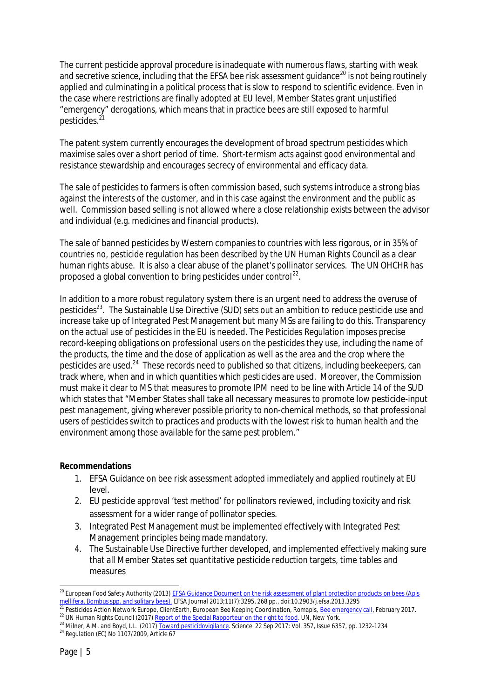The current pesticide approval procedure is inadequate with numerous flaws, starting with weak and secretive science, including that the EFSA bee risk assessment guidance<sup>20</sup> is not being routinely applied and culminating in a political process that is slow to respond to scientific evidence. Even in the case where restrictions are finally adopted at EU level, Member States grant unjustified "emergency" derogations, which means that in practice bees are still exposed to harmful pesticides.<sup>2</sup>

The patent system currently encourages the development of broad spectrum pesticides which maximise sales over a short period of time. Short-termism acts against good environmental and resistance stewardship and encourages secrecy of environmental and efficacy data.

The sale of pesticides to farmers is often commission based, such systems introduce a strong bias against the interests of the customer, and in this case against the environment and the public as well. Commission based selling is not allowed where a close relationship exists between the advisor and individual (e.g. medicines and financial products).

The sale of banned pesticides by Western companies to countries with less rigorous, or in 35% of countries no, pesticide regulation has been described by the UN Human Rights Council as a clear human rights abuse. It is also a clear abuse of the planet's pollinator services. The UN OHCHR has proposed a global convention to bring pesticides under control<sup>22</sup>.

In addition to a more robust regulatory system there is an urgent need to address the overuse of pesticides<sup>23</sup>. The Sustainable Use Directive (SUD) sets out an ambition to reduce pesticide use and increase take up of Integrated Pest Management but many MSs are failing to do this. Transparency on the actual use of pesticides in the EU is needed. The Pesticides Regulation imposes precise record-keeping obligations on professional users on the pesticides they use, including the name of the products, the time and the dose of application as well as the area and the crop where the pesticides are used.<sup>24</sup> These records need to published so that citizens, including beekeepers, can track where, when and in which quantities which pesticides are used. Moreover, the Commission must make it clear to MS that measures to promote IPM need to be line with Article 14 of the SUD which states that "Member States shall take all necessary measures to promote low pesticide-input pest management, giving wherever possible priority to non-chemical methods, so that professional users of pesticides switch to practices and products with the lowest risk to human health and the environment among those available for the same pest problem."

**Recommendations**

- 1. EFSA Guidance on bee risk assessment adopted immediately and applied routinely at EU level.
- 2. EU pesticide approval 'test method' for pollinators reviewed, including toxicity and risk assessment for a wider range of pollinator species.
- 3. Integrated Pest Management must be implemented effectively with Integrated Pest Management principles being made mandatory.
- 4. The Sustainable Use Directive further developed, and implemented effectively making sure that all Member States set quantitative pesticide reduction targets, time tables and measures

<sup>&</sup>lt;sup>20</sup> European Food Safety Authority (2013) EFSA Guidance Document on the risk assessment of plant protection products on bees (Apis mellifera, Bombus spp. and solitary bees). EFSA Journal 2013;11(7):3295, 268 pp., doi:10.2903/j.efsa.2013.3295

Pesticides Action Network Europe, ClientEarth, European Bee Keeping Coordination, Romapis, Bee emergency call, February 2017. Pesticial Action Network Large, Shoricaren, Largean Box Norming Communication of the Special Rapporteur on the right to food. UN, New York.

<sup>&</sup>lt;sup>23</sup> Milner, A.M. and Boyd, I.L. (2017) Toward pesticidovigilance. Science 22 Sep 2017: Vol. 357, Issue 6357, pp. 1232-1234

<sup>&</sup>lt;sup>24</sup> Regulation (EC) No 1107/2009, Article 67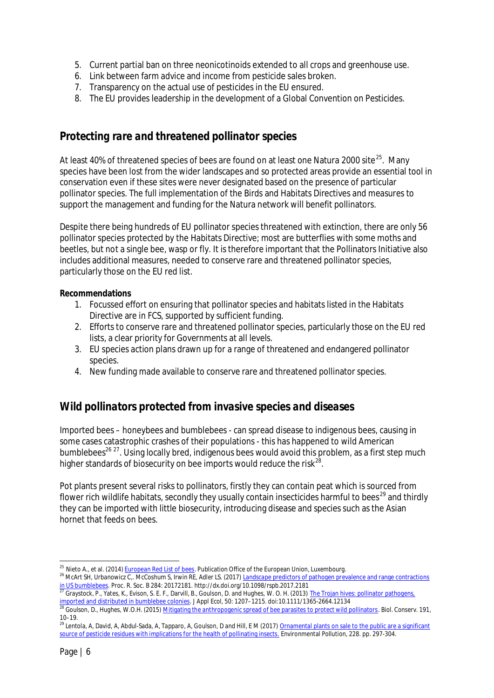- 5. Current partial ban on three neonicotinoids extended to all crops and greenhouse use.
- 6. Link between farm advice and income from pesticide sales broken.
- 7. Transparency on the actual use of pesticides in the EU ensured.
- 8. The EU provides leadership in the development of a Global Convention on Pesticides.

## *Protecting rare and threatened pollinator species*

At least 40% of threatened species of bees are found on at least one Natura 2000 site<sup>25</sup>. Many species have been lost from the wider landscapes and so protected areas provide an essential tool in conservation even if these sites were never designated based on the presence of particular pollinator species. The full implementation of the Birds and Habitats Directives and measures to support the management and funding for the Natura network will benefit pollinators.

Despite there being hundreds of EU pollinator species threatened with extinction, there are only 56 pollinator species protected by the Habitats Directive; most are butterflies with some moths and beetles, but not a single bee, wasp or fly. It is therefore important that the Pollinators Initiative also includes additional measures, needed to conserve rare and threatened pollinator species, particularly those on the EU red list.

**Recommendations**

- 1. Focussed effort on ensuring that pollinator species and habitats listed in the Habitats Directive are in FCS, supported by sufficient funding.
- 2. Efforts to conserve rare and threatened pollinator species, particularly those on the EU red lists, a clear priority for Governments at all levels.
- 3. EU species action plans drawn up for a range of threatened and endangered pollinator species.
- 4. New funding made available to conserve rare and threatened pollinator species.

## *Wild pollinators protected from invasive species and diseases*

Imported bees – honeybees and bumblebees - can spread disease to indigenous bees, causing in some cases catastrophic crashes of their populations - this has happened to wild American bumblebees<sup>26 27</sup>. Using locally bred, indigenous bees would avoid this problem, as a first step much higher standards of biosecurity on bee imports would reduce the risk $^{28}$ .

Pot plants present several risks to pollinators, firstly they can contain peat which is sourced from flower rich wildlife habitats, secondly they usually contain insecticides harmful to bees<sup>29</sup> and thirdly they can be imported with little biosecurity, introducing disease and species such as the Asian hornet that feeds on bees.

<sup>&</sup>lt;sup>25</sup> Nieto A., et al. (2014) European Red List of bees. Publication Office of the European Union, Luxembourg.

<sup>26</sup> McArt SH, Urbanowicz C,. McCoshum S, Irwin RE, Adler LS. (2017) Landscape predictors of pathogen prevalence and range contractions in US bumblebees. Proc. R. Soc. B 284: 20172181. http://dx.doi.org/10.1098/rspb.2017.2181

<sup>&</sup>lt;sup>2</sup> Graystock, P., Yates, K., Evison, S. E. F., Darvill, B., Goulson, D. and Hughes, W. O. H. (2013) The Trojan hives: pollinator pathogens, imported and distributed in bumblebee colonies. J Appl Ecol, 50: 1207–1215. doi:10.1111/1365-2664.12134

<sup>&</sup>lt;sup>28</sup> Goulson, D., Hughes, W.O.H. (2015) <u>Mitigating the anthropogenic spread of bee parasites to protect wild pollinators</u>. Biol. Conserv. 191, 10–19.

<sup>&</sup>lt;sup>29</sup> Lentola, A, David, A, Abdul-Sada, A, Tapparo, A, Goulson, D and Hill, E M (2017) <u>Ornamental plants on sale to the public are a significant</u> source of pesticide residues with implications for the health of pollinating insects. Environmental Pollution, 228. pp. 297-304.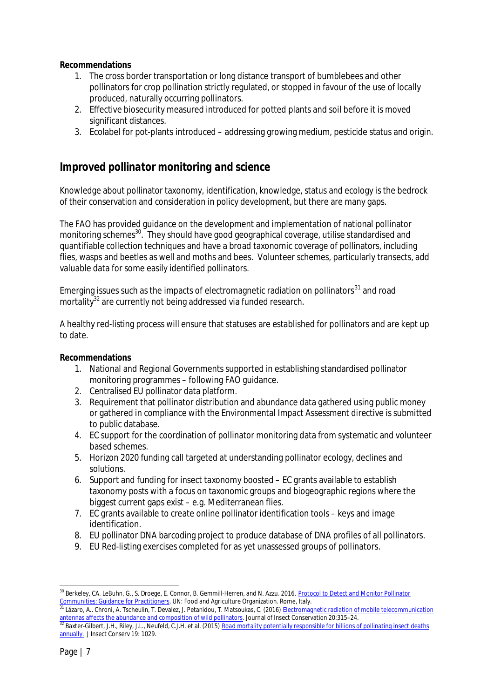**Recommendations**

- 1. The cross border transportation or long distance transport of bumblebees and other pollinators for crop pollination strictly regulated, or stopped in favour of the use of locally produced, naturally occurring pollinators.
- 2. Effective biosecurity measured introduced for potted plants and soil before it is moved significant distances.
- 3. Ecolabel for pot-plants introduced addressing growing medium, pesticide status and origin.

### *Improved pollinator monitoring and science*

Knowledge about pollinator taxonomy, identification, knowledge, status and ecology is the bedrock of their conservation and consideration in policy development, but there are many gaps.

The FAO has provided guidance on the development and implementation of national pollinator monitoring schemes<sup>30</sup>. They should have good geographical coverage, utilise standardised and quantifiable collection techniques and have a broad taxonomic coverage of pollinators, including flies, wasps and beetles as well and moths and bees. Volunteer schemes, particularly transects, add valuable data for some easily identified pollinators.

Emerging issues such as the impacts of electromagnetic radiation on pollinators $31$  and road mortality<sup>32</sup> are currently not being addressed via funded research.

A healthy red-listing process will ensure that statuses are established for pollinators and are kept up to date.

**Recommendations**

- 1. National and Regional Governments supported in establishing standardised pollinator monitoring programmes – following FAO guidance.
- 2. Centralised EU pollinator data platform.
- 3. Requirement that pollinator distribution and abundance data gathered using public money or gathered in compliance with the Environmental Impact Assessment directive is submitted to public database.
- 4. EC support for the coordination of pollinator monitoring data from systematic and volunteer based schemes.
- 5. Horizon 2020 funding call targeted at understanding pollinator ecology, declines and solutions.
- 6. Support and funding for insect taxonomy boosted EC grants available to establish taxonomy posts with a focus on taxonomic groups and biogeographic regions where the biggest current gaps exist – e.g. Mediterranean flies.
- 7. EC grants available to create online pollinator identification tools keys and image identification.
- 8. EU pollinator DNA barcoding project to produce database of DNA profiles of all pollinators.
- 9. EU Red-listing exercises completed for as yet unassessed groups of pollinators.

<sup>&</sup>lt;sup>30</sup> Berkelev, CA. LeBuhn, G., S. Droege, E. Connor, B. Gemmill-Herren, and N. Azzu. 2016. Protocol to Detect and Monitor Pollinator Communities: Guidance for Practitioners. UN: Food and Agriculture Organization. Rome, Italy.

Lázaro, A.. Chroni, A. Tscheulin, T. Devalez, J. Petanidou, T. Matsoukas, C. (2016) Electromagnetic radiation of mobile telecommunication antennas affects the abundance and composition of wild pollinators. Journal of Insect Conservation 20:315–24.

<sup>&</sup>lt;sup>32</sup> Baxter-Gilbert, J.H., Riley, J.L., Neufeld, C.J.H. et al. (2015) Road mortality potentially responsible for billions of pollinating insect deaths annually. J Insect Conserv 19: 1029.